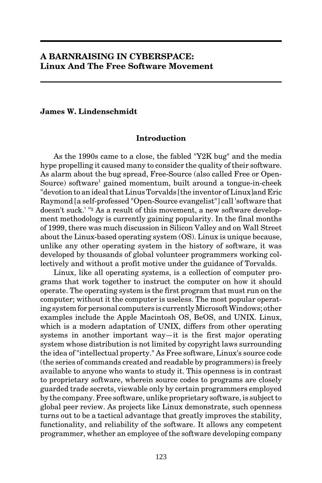## **A BARNRAISING IN CYBERSPACE: Linux And The Free Software Movement**

### **James W. Lindenschmidt**

#### **Introduction**

As the 1990s came to a close, the fabled "Y2K bug" and the media hype propelling it caused many to consider the quality of their software. As alarm about the bug spread, Free-Source (also called Free or Open-Source) software<sup>1</sup> gained momentum, built around a tongue-in-cheek "devotion to an ideal that Linus Torvalds [the inventor of Linux]and Eric Raymond [a self-professed "Open-Source evangelist"] call 'software that doesn't suck.' "2 As a result of this movement, a new software development methodology is currently gaining popularity. In the final months of 1999, there was much discussion in Silicon Valley and on Wall Street about the Linux-based operating system (OS). Linux is unique because, unlike any other operating system in the history of software, it was developed by thousands of global volunteer programmers working collectively and without a profit motive under the guidance of Torvalds.

Linux, like all operating systems, is a collection of computer programs that work together to instruct the computer on how it should operate. The operating system is the first program that must run on the computer; without it the computer is useless. The most popular operating system for personal computers is currently Microsoft Windows; other examples include the Apple Macintosh OS, BeOS, and UNIX. Linux, which is a modern adaptation of UNIX, differs from other operating systems in another important way—it is the first major operating system whose distribution is not limited by copyright laws surrounding the idea of "intellectual property." As Free software, Linux's source code (the series of commands created and readable by programmers) is freely available to anyone who wants to study it. This openness is in contrast to proprietary software, wherein source codes to programs are closely guarded trade secrets, viewable only by certain programmers employed by the company. Free software, unlike proprietary software, is subject to global peer review. As projects like Linux demonstrate, such openness turns out to be a tactical advantage that greatly improves the stability, functionality, and reliability of the software. It allows any competent programmer, whether an employee of the software developing company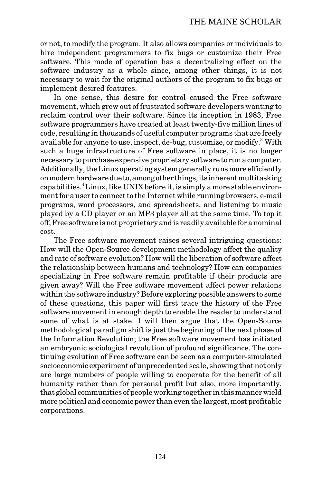or not, to modify the program. It also allows companies or individuals to hire independent programmers to fix bugs or customize their Free software. This mode of operation has a decentralizing effect on the software industry as a whole since, among other things, it is not necessary to wait for the original authors of the program to fix bugs or implement desired features.

In one sense, this desire for control caused the Free software movement, which grew out of frustrated software developers wanting to reclaim control over their software. Since its inception in 1983, Free software programmers have created at least twenty-five million lines of code, resulting in thousands of useful computer programs that are freely available for anyone to use, inspect, de-bug, customize, or modify.<sup>3</sup> With such a huge infrastructure of Free software in place, it is no longer necessary to purchase expensive proprietary software to run a computer. Additionally, the Linux operating system generally runs more efficiently on modern hardware due to, among other things, its inherent multitasking capabilities.<sup>4</sup> Linux, like UNIX before it, is simply a more stable environment for a user to connect to the Internet while running browsers, e-mail programs, word processors, and spreadsheets, and listening to music played by a CD player or an MP3 player all at the same time. To top it off, Free software is not proprietary and is readily available for a nominal cost.

The Free software movement raises several intriguing questions: How will the Open-Source development methodology affect the quality and rate of software evolution? How will the liberation of software affect the relationship between humans and technology? How can companies specializing in Free software remain profitable if their products are given away? Will the Free software movement affect power relations within the software industry? Before exploring possible answers to some of these questions, this paper will first trace the history of the Free software movement in enough depth to enable the reader to understand some of what is at stake. I will then argue that the Open-Source methodological paradigm shift is just the beginning of the next phase of the Information Revolution; the Free software movement has initiated an embryonic sociological revolution of profound significance. The continuing evolution of Free software can be seen as a computer-simulated socioeconomic experiment of unprecedented scale, showing that not only are large numbers of people willing to cooperate for the benefit of all humanity rather than for personal profit but also, more importantly, that global communities of people working together in this manner wield more political and economic power than even the largest, most profitable corporations.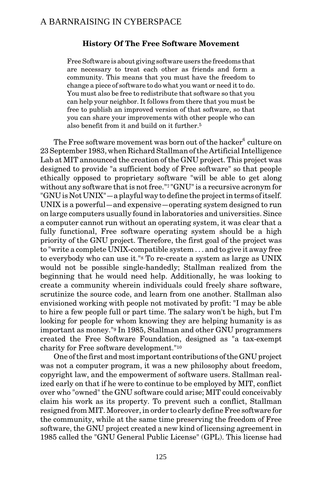#### **History Of The Free Software Movement**

Free Software is about giving software users the freedoms that are necessary to treat each other as friends and form a community. This means that you must have the freedom to change a piece of software to do what you want or need it to do. You must also be free to redistribute that software so that you can help your neighbor. It follows from there that you must be free to publish an improved version of that software, so that you can share your improvements with other people who can also benefit from it and build on it further.5

The Free software movement was born out of the hacker $^6$  culture on 23 September 1983, when Richard Stallman of the Artificial Intelligence Lab at MIT announced the creation of the GNU project. This project was designed to provide "a sufficient body of Free software" so that people ethically opposed to proprietary software "will be able to get along without any software that is not free."7 "GNU" is a recursive acronym for "GNU is Not UNIX"—a playful way to define the project in terms of itself. UNIX is a powerful—and expensive—operating system designed to run on large computers usually found in laboratories and universities. Since a computer cannot run without an operating system, it was clear that a fully functional, Free software operating system should be a high priority of the GNU project. Therefore, the first goal of the project was to "write a complete UNIX-compatible system . . . and to give it away free to everybody who can use it."8 To re-create a system as large as UNIX would not be possible single-handedly; Stallman realized from the beginning that he would need help. Additionally, he was looking to create a community wherein individuals could freely share software, scrutinize the source code, and learn from one another. Stallman also envisioned working with people not motivated by profit: "I may be able to hire a few people full or part time. The salary won't be high, but I'm looking for people for whom knowing they are helping humanity is as important as money."9 In 1985, Stallman and other GNU programmers created the Free Software Foundation, designed as "a tax-exempt charity for Free software development."10

One of the first and most important contributions of the GNU project was not a computer program, it was a new philosophy about freedom, copyright law, and the empowerment of software users. Stallman realized early on that if he were to continue to be employed by MIT, conflict over who "owned" the GNU software could arise; MIT could conceivably claim his work as its property. To prevent such a conflict, Stallman resigned from MIT. Moreover, in order to clearly define Free software for the community, while at the same time preserving the freedom of Free software, the GNU project created a new kind of licensing agreement in 1985 called the "GNU General Public License" (GPL). This license had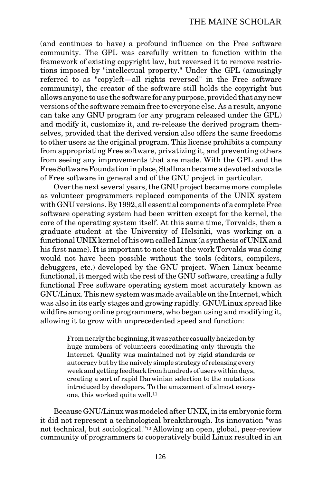(and continues to have) a profound influence on the Free software community. The GPL was carefully written to function within the framework of existing copyright law, but reversed it to remove restrictions imposed by "intellectual property." Under the GPL (amusingly referred to as "copyleft—all rights reversed" in the Free software community), the creator of the software still holds the copyright but allows anyone to use the software for any purpose, provided that any new versions of the software remain free to everyone else. As a result, anyone can take any GNU program (or any program released under the GPL) and modify it, customize it, and re-release the derived program themselves, provided that the derived version also offers the same freedoms to other users as the original program. This license prohibits a company from appropriating Free software, privatizing it, and preventing others from seeing any improvements that are made. With the GPL and the Free Software Foundation in place, Stallman became a devoted advocate of Free software in general and of the GNU project in particular.

Over the next several years, the GNU project became more complete as volunteer programmers replaced components of the UNIX system with GNU versions. By 1992, all essential components of a complete Free software operating system had been written except for the kernel, the core of the operating system itself. At this same time, Torvalds, then a graduate student at the University of Helsinki, was working on a functional UNIX kernel of his own called Linux (a synthesis of UNIX and his first name). It is important to note that the work Torvalds was doing would not have been possible without the tools (editors, compilers, debuggers, etc.) developed by the GNU project. When Linux became functional, it merged with the rest of the GNU software, creating a fully functional Free software operating system most accurately known as GNU/Linux. This new system was made available on the Internet, which was also in its early stages and growing rapidly. GNU/Linux spread like wildfire among online programmers, who began using and modifying it, allowing it to grow with unprecedented speed and function:

> From nearly the beginning, it was rather casually hacked on by huge numbers of volunteers coordinating only through the Internet. Quality was maintained not by rigid standards or autocracy but by the naively simple strategy of releasing every week and getting feedback from hundreds of users within days, creating a sort of rapid Darwinian selection to the mutations introduced by developers. To the amazement of almost everyone, this worked quite well.11

Because GNU/Linux was modeled after UNIX, in its embryonic form it did not represent a technological breakthrough. Its innovation "was not technical, but sociological."12 Allowing an open, global, peer-review community of programmers to cooperatively build Linux resulted in an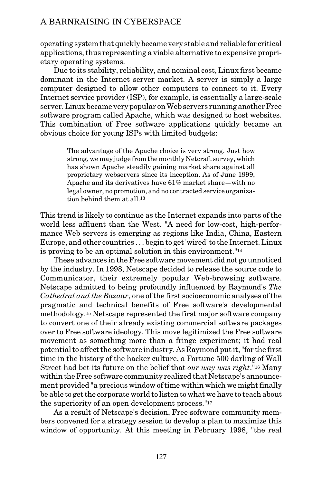operating system that quickly became very stable and reliable for critical applications, thus representing a viable alternative to expensive proprietary operating systems.

Due to its stability, reliability, and nominal cost, Linux first became dominant in the Internet server market. A server is simply a large computer designed to allow other computers to connect to it. Every Internet service provider (ISP), for example, is essentially a large-scale server. Linux became very popular on Web servers running another Free software program called Apache, which was designed to host websites. This combination of Free software applications quickly became an obvious choice for young ISPs with limited budgets:

> The advantage of the Apache choice is very strong. Just how strong, we may judge from the monthly Netcraft survey, which has shown Apache steadily gaining market share against all proprietary webservers since its inception. As of June 1999, Apache and its derivatives have 61% market share—with no legal owner, no promotion, and no contracted service organization behind them at all.13

This trend is likely to continue as the Internet expands into parts of the world less affluent than the West. "A need for low-cost, high-performance Web servers is emerging as regions like India, China, Eastern Europe, and other countries . . . begin to get 'wired' to the Internet. Linux is proving to be an optimal solution in this environment."14

These advances in the Free software movement did not go unnoticed by the industry. In 1998, Netscape decided to release the source code to Communicator, their extremely popular Web-browsing software. Netscape admitted to being profoundly influenced by Raymond's *The Cathedral and the Bazaar*, one of the first socioeconomic analyses of the pragmatic and technical benefits of Free software's developmental methodology.15 Netscape represented the first major software company to convert one of their already existing commercial software packages over to Free software ideology. This move legitimized the Free software movement as something more than a fringe experiment; it had real potential to affect the software industry. As Raymond put it, "for the first time in the history of the hacker culture, a Fortune 500 darling of Wall Street had bet its future on the belief that *our way was right*."16 Many within the Free software community realized that Netscape's announcement provided "a precious window of time within which we might finally be able to get the corporate world to listen to what we have to teach about the superiority of an open development process."17

As a result of Netscape's decision, Free software community members convened for a strategy session to develop a plan to maximize this window of opportunity. At this meeting in February 1998, "the real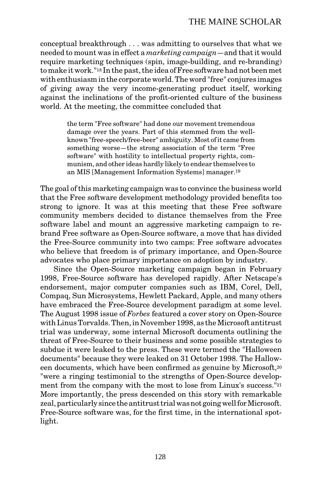conceptual breakthrough . . . was admitting to ourselves that what we needed to mount was in effect a *marketing campaign*—and that it would require marketing techniques (spin, image-building, and re-branding) to make it work."18 In the past, the idea of Free software had not been met with enthusiasm in the corporate world. The word "free" conjures images of giving away the very income-generating product itself, working against the inclinations of the profit-oriented culture of the business world. At the meeting, the committee concluded that

> the term "Free software" had done our movement tremendous damage over the years. Part of this stemmed from the wellknown "free-speech/free-beer" ambiguity. Most of it came from something worse—the strong association of the term "Free software" with hostility to intellectual property rights, communism, and other ideas hardly likely to endear themselves to an MIS [Management Information Systems] manager.19

The goal of this marketing campaign was to convince the business world that the Free software development methodology provided benefits too strong to ignore. It was at this meeting that these Free software community members decided to distance themselves from the Free software label and mount an aggressive marketing campaign to rebrand Free software as Open-Source software, a move that has divided the Free-Source community into two camps: Free software advocates who believe that freedom is of primary importance, and Open-Source advocates who place primary importance on adoption by industry.

Since the Open-Source marketing campaign began in February 1998, Free-Source software has developed rapidly. After Netscape's endorsement, major computer companies such as IBM, Corel, Dell, Compaq, Sun Microsystems, Hewlett Packard, Apple, and many others have embraced the Free-Source development paradigm at some level. The August 1998 issue of *Forbes* featured a cover story on Open-Source with Linus Torvalds. Then, in November 1998, as the Microsoft antitrust trial was underway, some internal Microsoft documents outlining the threat of Free-Source to their business and some possible strategies to subdue it were leaked to the press. These were termed the "Halloween documents" because they were leaked on 31 October 1998. The Halloween documents, which have been confirmed as genuine by Microsoft,20 "were a ringing testimonial to the strengths of Open-Source development from the company with the most to lose from Linux's success."21 More importantly, the press descended on this story with remarkable zeal, particularly since the antitrust trial was not going well for Microsoft. Free-Source software was, for the first time, in the international spotlight.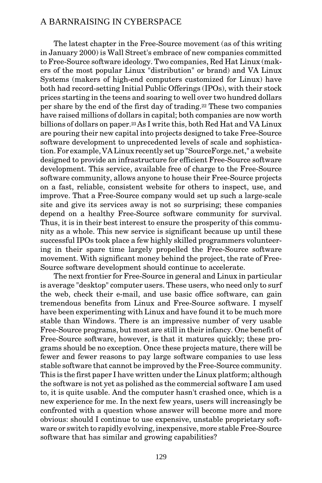The latest chapter in the Free-Source movement (as of this writing in January 2000) is Wall Street's embrace of new companies committed to Free-Source software ideology. Two companies, Red Hat Linux (makers of the most popular Linux "distribution" or brand) and VA Linux Systems (makers of high-end computers customized for Linux) have both had record-setting Initial Public Offerings (IPOs), with their stock prices starting in the teens and soaring to well over two hundred dollars per share by the end of the first day of trading.22 These two companies have raised millions of dollars in capital; both companies are now worth billions of dollars on paper.23As I write this, both Red Hat and VA Linux are pouring their new capital into projects designed to take Free-Source software development to unprecedented levels of scale and sophistication. For example, VA Linux recently set up "SourceForge.net," a website designed to provide an infrastructure for efficient Free-Source software development. This service, available free of charge to the Free-Source software community, allows anyone to house their Free-Source projects on a fast, reliable, consistent website for others to inspect, use, and improve. That a Free-Source company would set up such a large-scale site and give its services away is not so surprising; these companies depend on a healthy Free-Source software community for survival. Thus, it is in their best interest to ensure the prosperity of this community as a whole. This new service is significant because up until these successful IPOs took place a few highly skilled programmers volunteering in their spare time largely propelled the Free-Source software movement. With significant money behind the project, the rate of Free-Source software development should continue to accelerate.

The next frontier for Free-Source in general and Linux in particular is average "desktop" computer users. These users, who need only to surf the web, check their e-mail, and use basic office software, can gain tremendous benefits from Linux and Free-Source software. I myself have been experimenting with Linux and have found it to be much more stable than Windows. There is an impressive number of very usable Free-Source programs, but most are still in their infancy. One benefit of Free-Source software, however, is that it matures quickly; these programs should be no exception. Once these projects mature, there will be fewer and fewer reasons to pay large software companies to use less stable software that cannot be improved by the Free-Source community. This is the first paper I have written under the Linux platform; although the software is not yet as polished as the commercial software I am used to, it is quite usable. And the computer hasn't crashed once, which is a new experience for me. In the next few years, users will increasingly be confronted with a question whose answer will become more and more obvious: should I continue to use expensive, unstable proprietary software or switch to rapidly evolving, inexpensive, more stable Free-Source software that has similar and growing capabilities?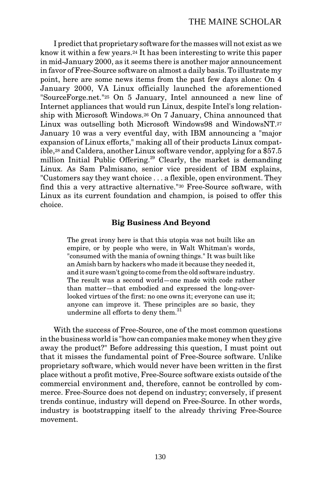I predict that proprietary software for the masses will not exist as we know it within a few years.24 It has been interesting to write this paper in mid-January 2000, as it seems there is another major announcement in favor of Free-Source software on almost a daily basis. To illustrate my point, here are some news items from the past few days alone: On 4 January 2000, VA Linux officially launched the aforementioned "SourceForge.net."25 On 5 January, Intel announced a new line of Internet appliances that would run Linux, despite Intel's long relationship with Microsoft Windows.26 On 7 January, China announced that Linux was outselling both Microsoft Windows98 and WindowsNT.27 January 10 was a very eventful day, with IBM announcing a "major expansion of Linux efforts," making all of their products Linux compatible,28 and Caldera, another Linux software vendor, applying for a \$57.5 million Initial Public Offering.<sup>29</sup> Clearly, the market is demanding Linux. As Sam Palmisano, senior vice president of IBM explains, "Customers say they want choice . . . a flexible, open environment. They find this a very attractive alternative."30 Free-Source software, with Linux as its current foundation and champion, is poised to offer this choice.

#### **Big Business And Beyond**

The great irony here is that this utopia was not built like an empire, or by people who were, in Walt Whitman's words, "consumed with the mania of owning things." It was built like an Amish barn by hackers who made it because they needed it, and it sure wasn't going to come from the old software industry. The result was a second world—one made with code rather than matter—that embodied and expressed the long-overlooked virtues of the first: no one owns it; everyone can use it; anyone can improve it. These principles are so basic, they undermine all efforts to deny them.<sup>31</sup>

With the success of Free-Source, one of the most common questions in the business world is "how can companies make money when they give away the product?" Before addressing this question, I must point out that it misses the fundamental point of Free-Source software. Unlike proprietary software, which would never have been written in the first place without a profit motive, Free-Source software exists outside of the commercial environment and, therefore, cannot be controlled by commerce. Free-Source does not depend on industry; conversely, if present trends continue, industry will depend on Free-Source. In other words, industry is bootstrapping itself to the already thriving Free-Source movement.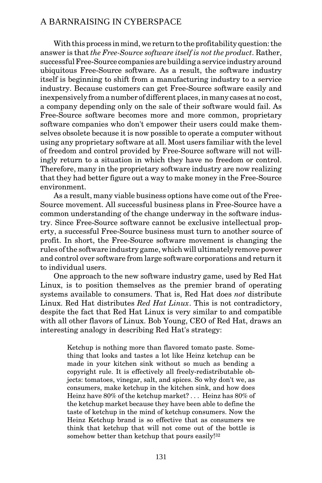With this process in mind, we return to the profitability question: the answer is that *the Free-Source software itself is not the product*. Rather, successful Free-Source companies are building a service industry around ubiquitous Free-Source software. As a result, the software industry itself is beginning to shift from a manufacturing industry to a service industry. Because customers can get Free-Source software easily and inexpensively from a number of different places, in many cases at no cost, a company depending only on the sale of their software would fail. As Free-Source software becomes more and more common, proprietary software companies who don't empower their users could make themselves obsolete because it is now possible to operate a computer without using any proprietary software at all. Most users familiar with the level of freedom and control provided by Free-Source software will not willingly return to a situation in which they have no freedom or control. Therefore, many in the proprietary software industry are now realizing that they had better figure out a way to make money in the Free-Source environment.

As a result, many viable business options have come out of the Free-Source movement. All successful business plans in Free-Source have a common understanding of the change underway in the software industry. Since Free-Source software cannot be exclusive intellectual property, a successful Free-Source business must turn to another source of profit. In short, the Free-Source software movement is changing the rules of the software industry game, which will ultimately remove power and control over software from large software corporations and return it to individual users.

One approach to the new software industry game, used by Red Hat Linux, is to position themselves as the premier brand of operating systems available to consumers. That is, Red Hat does *not* distribute Linux. Red Hat distributes *Red Hat Linux*. This is not contradictory, despite the fact that Red Hat Linux is very similar to and compatible with all other flavors of Linux. Bob Young, CEO of Red Hat, draws an interesting analogy in describing Red Hat's strategy:

> Ketchup is nothing more than flavored tomato paste. Something that looks and tastes a lot like Heinz ketchup can be made in your kitchen sink without so much as bending a copyright rule. It is effectively all freely-redistributable objects: tomatoes, vinegar, salt, and spices. So why don't we, as consumers, make ketchup in the kitchen sink, and how does Heinz have 80% of the ketchup market? . . . Heinz has 80% of the ketchup market because they have been able to define the taste of ketchup in the mind of ketchup consumers. Now the Heinz Ketchup brand is so effective that as consumers we think that ketchup that will not come out of the bottle is somehow better than ketchup that pours easily!32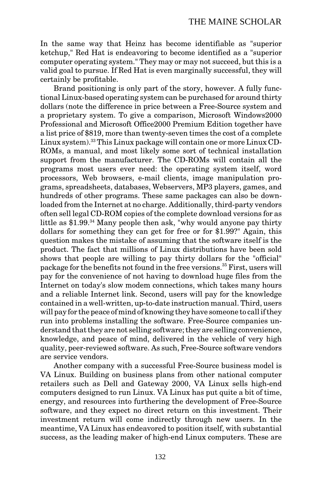In the same way that Heinz has become identifiable as "superior ketchup," Red Hat is endeavoring to become identified as a "superior computer operating system." They may or may not succeed, but this is a valid goal to pursue. If Red Hat is even marginally successful, they will certainly be profitable.

Brand positioning is only part of the story, however. A fully functional Linux-based operating system can be purchased for around thirty dollars (note the difference in price between a Free-Source system and a proprietary system. To give a comparison, Microsoft Windows2000 Professional and Microsoft Office2000 Premium Edition together have a list price of \$819, more than twenty-seven times the cost of a complete Linux system).33 This Linux package will contain one or more Linux CD-ROMs, a manual, and most likely some sort of technical installation support from the manufacturer. The CD-ROMs will contain all the programs most users ever need: the operating system itself, word processors, Web browsers, e-mail clients, image manipulation programs, spreadsheets, databases, Webservers, MP3 players, games, and hundreds of other programs. These same packages can also be downloaded from the Internet at no charge. Additionally, third-party vendors often sell legal CD-ROM copies of the complete download versions for as little as \$1.99.34 Many people then ask, "why would anyone pay thirty dollars for something they can get for free or for \$1.99?" Again, this question makes the mistake of assuming that the software itself is the product. The fact that millions of Linux distributions have been sold shows that people are willing to pay thirty dollars for the "official" package for the benefits not found in the free versions.35 First, users will pay for the convenience of not having to download huge files from the Internet on today's slow modem connections, which takes many hours and a reliable Internet link. Second, users will pay for the knowledge contained in a well-written, up-to-date instruction manual. Third, users will pay for the peace of mind of knowing they have someone to call if they run into problems installing the software. Free-Source companies understand that they are not selling software; they are selling convenience, knowledge, and peace of mind, delivered in the vehicle of very high quality, peer-reviewed software. As such, Free-Source software vendors are service vendors.

Another company with a successful Free-Source business model is VA Linux. Building on business plans from other national computer retailers such as Dell and Gateway 2000, VA Linux sells high-end computers designed to run Linux. VA Linux has put quite a bit of time, energy, and resources into furthering the development of Free-Source software, and they expect no direct return on this investment. Their investment return will come indirectly through new users. In the meantime, VA Linux has endeavored to position itself, with substantial success, as the leading maker of high-end Linux computers. These are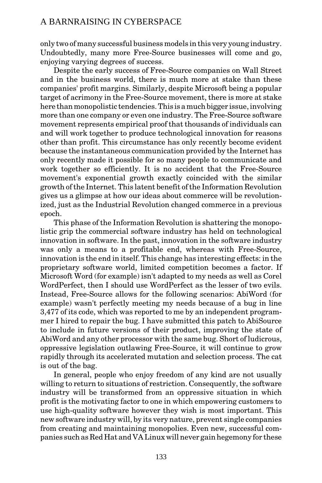only two of many successful business models in this very young industry. Undoubtedly, many more Free-Source businesses will come and go, enjoying varying degrees of success.

Despite the early success of Free-Source companies on Wall Street and in the business world, there is much more at stake than these companies' profit margins. Similarly, despite Microsoft being a popular target of acrimony in the Free-Source movement, there is more at stake here than monopolistic tendencies. This is a much bigger issue, involving more than one company or even one industry. The Free-Source software movement represents empirical proof that thousands of individuals can and will work together to produce technological innovation for reasons other than profit. This circumstance has only recently become evident because the instantaneous communication provided by the Internet has only recently made it possible for so many people to communicate and work together so efficiently. It is no accident that the Free-Source movement's exponential growth exactly coincided with the similar growth of the Internet. This latent benefit of the Information Revolution gives us a glimpse at how our ideas about commerce will be revolutionized, just as the Industrial Revolution changed commerce in a previous epoch.

This phase of the Information Revolution is shattering the monopolistic grip the commercial software industry has held on technological innovation in software. In the past, innovation in the software industry was only a means to a profitable end, whereas with Free-Source, innovation is the end in itself. This change has interesting effects: in the proprietary software world, limited competition becomes a factor. If Microsoft Word (for example) isn't adapted to my needs as well as Corel WordPerfect, then I should use WordPerfect as the lesser of two evils. Instead, Free-Source allows for the following scenarios: AbiWord (for example) wasn't perfectly meeting my needs because of a bug in line 3,477 of its code, which was reported to me by an independent programmer I hired to repair the bug. I have submitted this patch to AbiSource to include in future versions of their product, improving the state of AbiWord and any other processor with the same bug. Short of ludicrous, oppressive legislation outlawing Free-Source, it will continue to grow rapidly through its accelerated mutation and selection process. The cat is out of the bag.

In general, people who enjoy freedom of any kind are not usually willing to return to situations of restriction. Consequently, the software industry will be transformed from an oppressive situation in which profit is the motivating factor to one in which empowering customers to use high-quality software however they wish is most important. This new software industry will, by its very nature, prevent single companies from creating and maintaining monopolies. Even new, successful companies such as Red Hat and VA Linux will never gain hegemony for these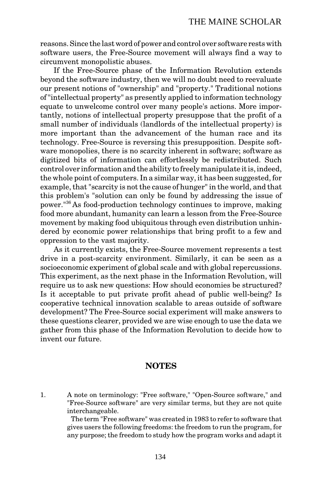reasons. Since the last word of power and control over software rests with software users, the Free-Source movement will always find a way to circumvent monopolistic abuses.

If the Free-Source phase of the Information Revolution extends beyond the software industry, then we will no doubt need to reevaluate our present notions of "ownership" and "property." Traditional notions of "intellectual property" as presently applied to information technology equate to unwelcome control over many people's actions. More importantly, notions of intellectual property presuppose that the profit of a small number of individuals (landlords of the intellectual property) is more important than the advancement of the human race and its technology. Free-Source is reversing this presupposition. Despite software monopolies, there is no scarcity inherent in software; software as digitized bits of information can effortlessly be redistributed. Such control over information and the ability to freely manipulate it is, indeed, the whole point of computers. In a similar way, it has been suggested, for example, that "scarcity is not the cause of hunger" in the world, and that this problem's "solution can only be found by addressing the issue of power."36 As food-production technology continues to improve, making food more abundant, humanity can learn a lesson from the Free-Source movement by making food ubiquitous through even distribution unhindered by economic power relationships that bring profit to a few and oppression to the vast majority.

As it currently exists, the Free-Source movement represents a test drive in a post-scarcity environment. Similarly, it can be seen as a socioeconomic experiment of global scale and with global repercussions. This experiment, as the next phase in the Information Revolution, will require us to ask new questions: How should economies be structured? Is it acceptable to put private profit ahead of public well-being? Is cooperative technical innovation scalable to areas outside of software development? The Free-Source social experiment will make answers to these questions clearer, provided we are wise enough to use the data we gather from this phase of the Information Revolution to decide how to invent our future.

### **NOTES**

1. A note on terminology: "Free software," "Open-Source software," and "Free-Source software" are very similar terms, but they are not quite interchangeable.

 The term "Free software" was created in 1983 to refer to software that gives users the following freedoms: the freedom to run the program, for any purpose; the freedom to study how the program works and adapt it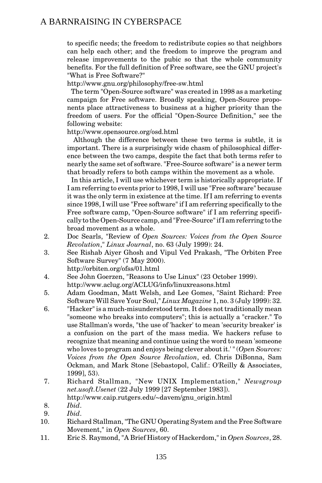to specific needs; the freedom to redistribute copies so that neighbors can help each other; and the freedom to improve the program and release improvements to the pubic so that the whole community benefits. For the full definition of Free software, see the GNU project's "What is Free Software?"

http://www.gnu.org/philosophy/free-sw.html

 The term "Open-Source software" was created in 1998 as a marketing campaign for Free software. Broadly speaking, Open-Source proponents place attractiveness to business at a higher priority than the freedom of users. For the official "Open-Source Definition," see the following website:

http://www.opensource.org/osd.html

 Although the difference between these two terms is subtle, it is important. There is a surprisingly wide chasm of philosophical difference between the two camps, despite the fact that both terms refer to nearly the same set of software. "Free-Source software" is a newer term that broadly refers to both camps within the movement as a whole.

 In this article, I will use whichever term is historically appropriate. If I am referring to events prior to 1998, I will use "Free software" because it was the only term in existence at the time. If I am referring to events since 1998, I will use "Free software" if I am referring specifically to the Free software camp, "Open-Source software" if I am referring specifically to the Open-Source camp, and "Free-Source" if I am referring to the broad movement as a whole.

- 2. Doc Searls, "Review of *Open Sources: Voices from the Open Source Revolution*," *Linux Journal*, no. 63 (July 1999): 24.
- 3. See Rishab Aiyer Ghosh and Vipul Ved Prakash, "The Orbiten Free Software Survey" (7 May 2000).

http://orbiten.org/ofss/01.html

- 4. See John Goerzen, "Reasons to Use Linux" (23 October 1999). http://www.aclug.org/ACLUG/info/linuxreasons.html
- 5. Adam Goodman, Matt Welsh, and Lee Gomes, "Saint Richard: Free Software Will Save Your Soul," *Linux Magazine* 1, no. 3 (July 1999): 32.
- 6. "Hacker" is a much-misunderstood term. It does not traditionally mean "someone who breaks into computers"; this is actually a "cracker." To use Stallman's words, "the use of 'hacker' to mean 'security breaker' is a confusion on the part of the mass media. We hackers refuse to recognize that meaning and continue using the word to mean 'someone who loves to program and enjoys being clever about it.' " (*Open Sources: Voices from the Open Source Revolution*, ed. Chris DiBonna, Sam Ockman, and Mark Stone [Sebastopol, Calif.: O'Reilly & Associates, 1999], 53).
- 7. Richard Stallman, "New UNIX Implementation," *Newsgroup net.usoft.Usenet* (22 July 1999 [27 September 1983]).

http://www.caip.rutgers.edu/~davem/gnu\_origin.html

- 9. *Ibid*.
- 10. Richard Stallman, "The GNU Operating System and the Free Software Movement," in *Open Sources*, 60.
- 11. Eric S. Raymond, "A Brief History of Hackerdom," in *Open Sources*, 28.

 <sup>8.</sup> *Ibid*.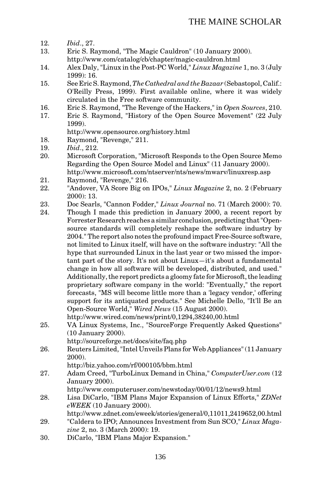## THE MAINE SCHOLAR

- 12. *Ibid*., 27.
- Eric S. Raymond, "The Magic Cauldron" (10 January 2000). http://www.com/catalog/cb/chapter/magic-cauldron.html
- 14. Alex Daly, "Linux in the Post-PC World," *Linux Magazine* 1, no. 3 (July 1999): 16.
- 15. See Eric S. Raymond, *The Cathedral and the Bazaar* (Sebastopol, Calif.: O'Reilly Press, 1999). First available online, where it was widely circulated in the Free software community.
- 16. Eric S. Raymond, "The Revenge of the Hackers," in *Open Sources*, 210.
- Eric S. Raymond, "History of the Open Source Movement" (22 July 1999).
	- http://www.opensource.org/history.html
- 18. Raymond, "Revenge," 211.<br>19. Ibid., 212.
- 19. *Ibid*., 212.
- 20. Microsoft Corporation, "Microsoft Responds to the Open Source Memo Regarding the Open Source Model and Linux" (11 January 2000). http://www.microsoft.com/ntserver/nts/news/mwarv/linuxresp.asp
- 21. Raymond, "Revenge," 216.
- 22. "Andover, VA Score Big on IPOs," *Linux Magazine* 2, no. 2 (February 2000): 13.
- 23. Doc Searls, "Cannon Fodder," *Linux Journal* no. 71 (March 2000): 70.
- 24. Though I made this prediction in January 2000, a recent report by Forrester Research reaches a similar conclusion, predicting that "Opensource standards will completely reshape the software industry by 2004." The report also notes the profound impact Free-Source software, not limited to Linux itself, will have on the software industry: "All the hype that surrounded Linux in the last year or two missed the important part of the story. It's not about Linux—it's about a fundamental change in how all software will be developed, distributed, and used." Additionally, the report predicts a gloomy fate for Microsoft, the leading proprietary software company in the world: "Eventually," the report forecasts, "MS will become little more than a 'legacy vendor,' offering support for its antiquated products." See Michelle Dello, "It'll Be an Open-Source World," *Wired News* (15 August 2000).

http://www.wired.com/news/print/0,1294,38240,00.html

25. VA Linux Systems, Inc., "SourceForge Frequently Asked Questions" (10 January 2000).

http://sourceforge.net/docs/site/faq.php

- 26. Reuters Limited, "Intel Unveils Plans for Web Appliances" (11 January 2000).
	- http://biz.yahoo.com/rf/000105/bbm.html
- 27. Adam Creed, "TurboLinux Demand in China," *ComputerUser.com* (12 January 2000).

http://www.computeruser.com/newstoday/00/01/12/news9.html

- 28. Lisa DiCarlo, "IBM Plans Major Expansion of Linux Efforts," *ZDNet eWEEK* (10 January 2000).
- http://www.zdnet.com/eweek/stories/general/0,11011,2419652,00.html 29. "Caldera to IPO; Announces Investment from Sun SCO," *Linux Maga-*
- *zine* 2, no. 3 (March 2000): 19.
- 30. DiCarlo, "IBM Plans Major Expansion."